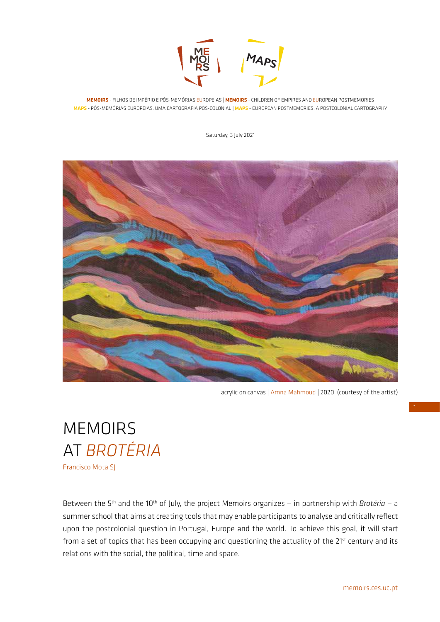

**MEMOIRS** - FILHOS DE IMPÉRIO E PÓS-MEMÓRIAS EUROPEIAS | **MEMOIRS** - CHILDREN OF EMPIRES AND EUROPEAN POSTMEMORIES **MAPS** - PÓS-MEMÓRIAS EUROPEIAS: UMA CARTOGRAFIA PÓS-COLONIAL | **MAPS** - EUROPEAN POSTMEMORIES: A POSTCOLONIAL CARTOGRAPHY

Saturday, 3 July 2021



acrylic on canvas | Amna Mahmoud *|* 2020 (courtesy of the artist)

## **MEMOIRS** AT *BROTÉRIA*

Francisco Mota SJ

Between the 5<sup>th</sup> and the 10<sup>th</sup> of July, the project Memoirs organizes - in partnership with *Brotéria* - a summer school that aims at creating tools that may enable participants to analyse and critically reflect upon the postcolonial question in Portugal, Europe and the world. To achieve this goal, it will start from a set of topics that has been occupying and questioning the actuality of the 21<sup>st</sup> century and its relations with the social, the political, time and space.

1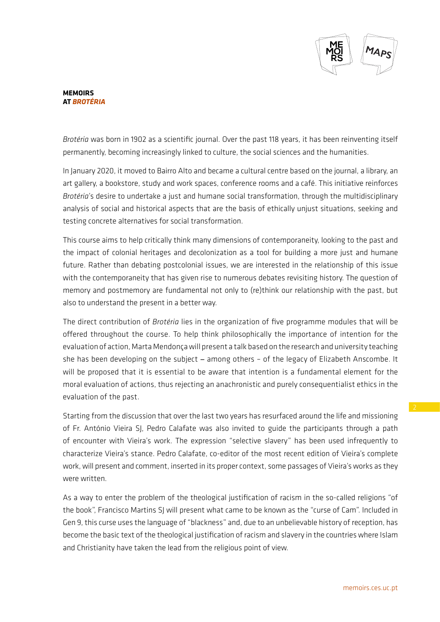

## **MEMOIRS AT** *BROTÉRIA*

*Brotéria* was born in 1902 as a scientific journal. Over the past 118 years, it has been reinventing itself permanently, becoming increasingly linked to culture, the social sciences and the humanities.

In January 2020, it moved to Bairro Alto and became a cultural centre based on the journal, a library, an art gallery, a bookstore, study and work spaces, conference rooms and a café. This initiative reinforces *Brotéria*'s desire to undertake a just and humane social transformation, through the multidisciplinary analysis of social and historical aspects that are the basis of ethically unjust situations, seeking and testing concrete alternatives for social transformation.

This course aims to help critically think many dimensions of contemporaneity, looking to the past and the impact of colonial heritages and decolonization as a tool for building a more just and humane future. Rather than debating postcolonial issues, we are interested in the relationship of this issue with the contemporaneity that has given rise to numerous debates revisiting history. The question of memory and postmemory are fundamental not only to (re)think our relationship with the past, but also to understand the present in a better way.

The direct contribution of *Brotéria* lies in the organization of five programme modules that will be offered throughout the course. To help think philosophically the importance of intention for the evaluation of action, Marta Mendonça will present a talk based on the research and university teaching she has been developing on the subject - among others - of the legacy of Elizabeth Anscombe. It will be proposed that it is essential to be aware that intention is a fundamental element for the moral evaluation of actions, thus rejecting an anachronistic and purely consequentialist ethics in the evaluation of the past.

Starting from the discussion that over the last two years has resurfaced around the life and missioning of Fr. António Vieira SJ, Pedro Calafate was also invited to guide the participants through a path of encounter with Vieira's work. The expression "selective slavery" has been used infrequently to characterize Vieira's stance. Pedro Calafate, co-editor of the most recent edition of Vieira's complete work, will present and comment, inserted in its proper context, some passages of Vieira's works as they were written.

As a way to enter the problem of the theological justification of racism in the so-called religions "of the book", Francisco Martins SJ will present what came to be known as the "curse of Cam". Included in Gen 9, this curse uses the language of "blackness" and, due to an unbelievable history of reception, has become the basic text of the theological justification of racism and slavery in the countries where Islam and Christianity have taken the lead from the religious point of view.